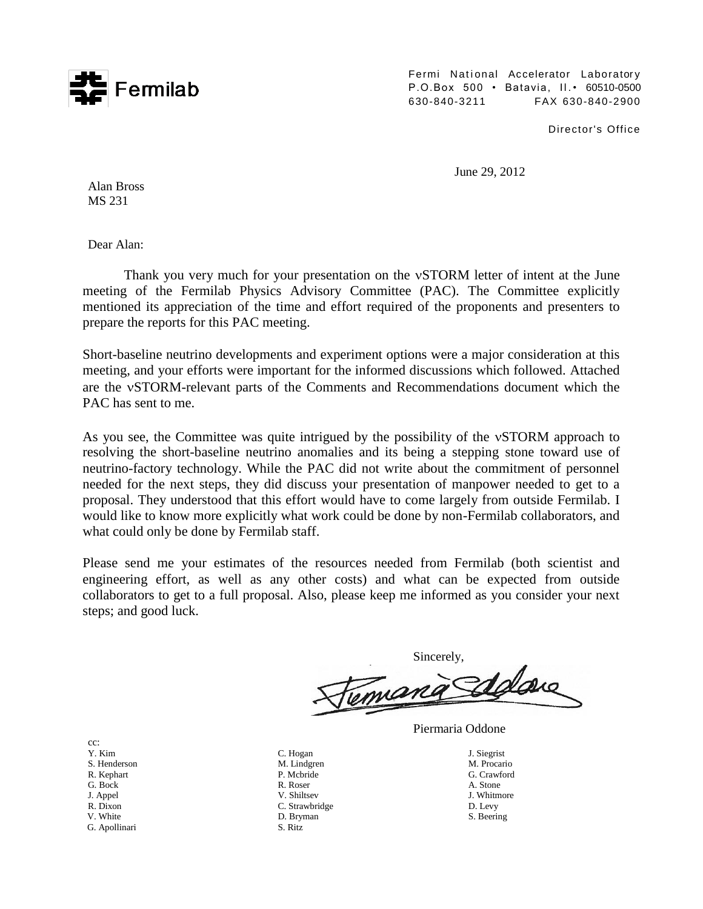

Fermi National Accelerator Laboratory P.O.Box 500 • Batavia, II.• 60510-0500 630-840-3211 FAX 630-840-2900

Director's Office

June 29, 2012

Alan Bross MS 231

Dear Alan:

Thank you very much for your presentation on the vSTORM letter of intent at the June meeting of the Fermilab Physics Advisory Committee (PAC). The Committee explicitly mentioned its appreciation of the time and effort required of the proponents and presenters to prepare the reports for this PAC meeting.

Short-baseline neutrino developments and experiment options were a major consideration at this meeting, and your efforts were important for the informed discussions which followed. Attached are the vSTORM-relevant parts of the Comments and Recommendations document which the PAC has sent to me.

As you see, the Committee was quite intrigued by the possibility of the vSTORM approach to resolving the short-baseline neutrino anomalies and its being a stepping stone toward use of neutrino-factory technology. While the PAC did not write about the commitment of personnel needed for the next steps, they did discuss your presentation of manpower needed to get to a proposal. They understood that this effort would have to come largely from outside Fermilab. I would like to know more explicitly what work could be done by non-Fermilab collaborators, and what could only be done by Fermilab staff.

Please send me your estimates of the resources needed from Fermilab (both scientist and engineering effort, as well as any other costs) and what can be expected from outside collaborators to get to a full proposal. Also, please keep me informed as you consider your next steps; and good luck.

Sincerely,

Y. Kim S. Henderson R. Kephart G. Bock J. Appel R. Dixon

cc:

- 
- V. White G. Apollinari
- C. Hogan M. Lindgren P. Mcbride R. Roser V. Shiltsev C. Strawbridge D. Bryman S. Ritz
- Piermaria Oddone
	- J. Siegrist M. Procario G. Crawford A. Stone J. Whitmore D. Levy S. Beering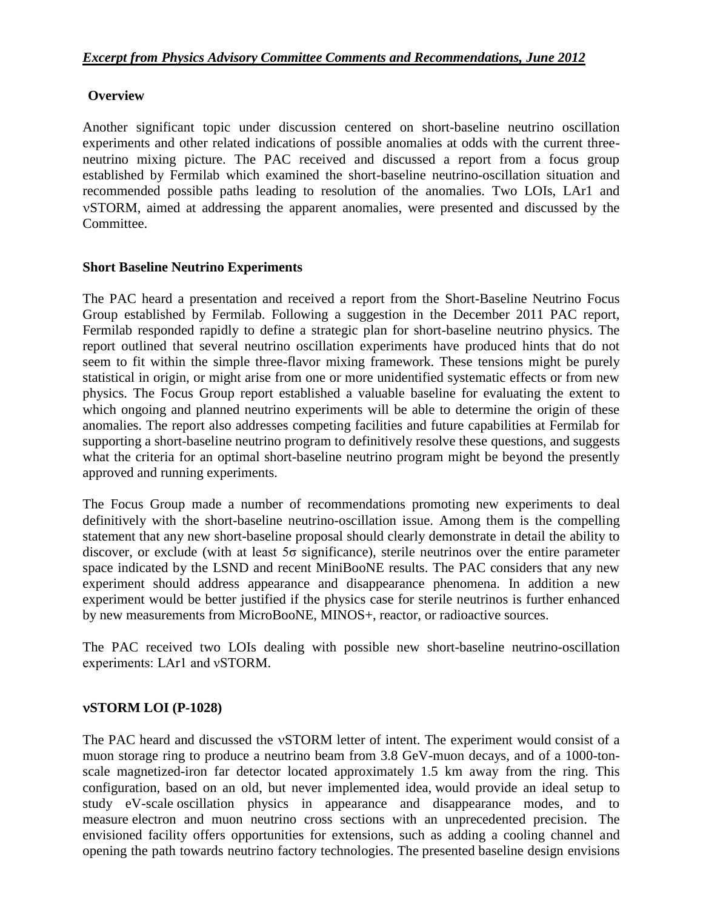## **Overview**

Another significant topic under discussion centered on short-baseline neutrino oscillation experiments and other related indications of possible anomalies at odds with the current threeneutrino mixing picture. The PAC received and discussed a report from a focus group established by Fermilab which examined the short-baseline neutrino-oscillation situation and recommended possible paths leading to resolution of the anomalies. Two LOIs, LAr1 and STORM, aimed at addressing the apparent anomalies, were presented and discussed by the Committee.

## **Short Baseline Neutrino Experiments**

The PAC heard a presentation and received a report from the Short-Baseline Neutrino Focus Group established by Fermilab. Following a suggestion in the December 2011 PAC report, Fermilab responded rapidly to define a strategic plan for short-baseline neutrino physics. The report outlined that several neutrino oscillation experiments have produced hints that do not seem to fit within the simple three-flavor mixing framework. These tensions might be purely statistical in origin, or might arise from one or more unidentified systematic effects or from new physics. The Focus Group report established a valuable baseline for evaluating the extent to which ongoing and planned neutrino experiments will be able to determine the origin of these anomalies. The report also addresses competing facilities and future capabilities at Fermilab for supporting a short-baseline neutrino program to definitively resolve these questions, and suggests what the criteria for an optimal short-baseline neutrino program might be beyond the presently approved and running experiments.

The Focus Group made a number of recommendations promoting new experiments to deal definitively with the short-baseline neutrino-oscillation issue. Among them is the compelling statement that any new short-baseline proposal should clearly demonstrate in detail the ability to discover, or exclude (with at least 5σ significance), sterile neutrinos over the entire parameter space indicated by the LSND and recent MiniBooNE results. The PAC considers that any new experiment should address appearance and disappearance phenomena. In addition a new experiment would be better justified if the physics case for sterile neutrinos is further enhanced by new measurements from MicroBooNE, MINOS+, reactor, or radioactive sources.

The PAC received two LOIs dealing with possible new short-baseline neutrino-oscillation experiments: LAr1 and νSTORM.

## **STORM LOI (P-1028)**

The PAC heard and discussed the vSTORM letter of intent. The experiment would consist of a muon storage ring to produce a neutrino beam from 3.8 GeV-muon decays, and of a 1000-tonscale magnetized-iron far detector located approximately 1.5 km away from the ring. This configuration, based on an old, but never implemented idea, would provide an ideal setup to study eV-scale oscillation physics in appearance and disappearance modes, and to measure electron and muon neutrino cross sections with an unprecedented precision. The envisioned facility offers opportunities for extensions, such as adding a cooling channel and opening the path towards neutrino factory technologies. The presented baseline design envisions